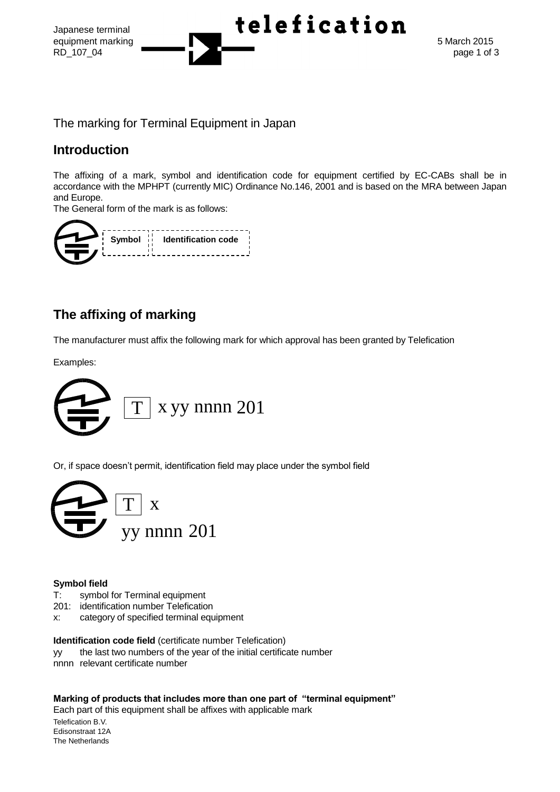

The marking for Terminal Equipment in Japan

### **Introduction**

The affixing of a mark, symbol and identification code for equipment certified by EC-CABs shall be in accordance with the MPHPT (currently MIC) Ordinance No.146, 2001 and is based on the MRA between Japan and Europe.

The General form of the mark is as follows:

|  | Symbol i Identification code |
|--|------------------------------|
|  |                              |

# **The affixing of marking**

The manufacturer must affix the following mark for which approval has been granted by Telefication

Examples:



Or, if space doesn't permit, identification field may place under the symbol field



#### **Symbol field**

- T: symbol for Terminal equipment
- 201: identification number Telefication
- x: category of specified terminal equipment

**Identification code field** (certificate number Telefication)

- yy the last two numbers of the year of the initial certificate number
- nnnn relevant certificate number

**Marking of products that includes more than one part of "terminal equipment"**

Telefication B.V. Each part of this equipment shall be affixes with applicable mark

Edisonstraat 12A The Netherlands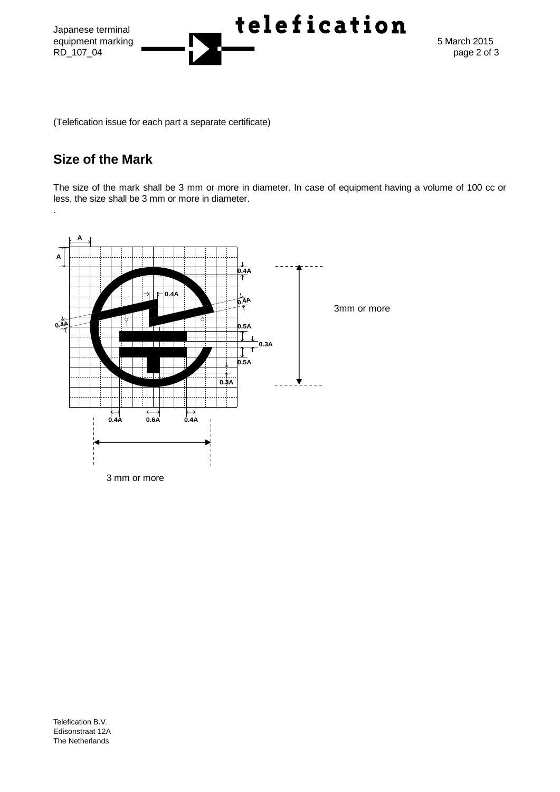

(Telefication issue for each part a separate certificate)

## **Size of the Mark**

.

The size of the mark shall be 3 mm or more in diameter. In case of equipment having a volume of 100 cc or less, the size shall be 3 mm or more in diameter.